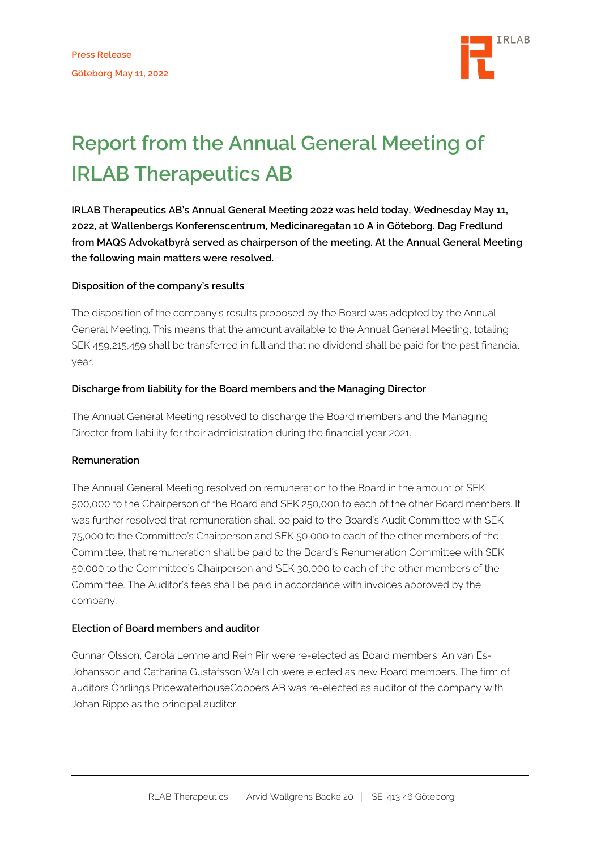

# **Report from the Annual General Meeting of IRLAB Therapeutics AB**

**IRLAB Therapeutics AB's Annual General Meeting 2022 was held today, Wednesday May 11, 2022, at Wallenbergs Konferenscentrum, Medicinaregatan 10 A in Göteborg. Dag Fredlund from MAQS Advokatbyrå served as chairperson of the meeting. At the Annual General Meeting the following main matters were resolved.**

## **Disposition of the company's results**

The disposition of the company's results proposed by the Board was adopted by the Annual General Meeting. This means that the amount available to the Annual General Meeting, totaling SEK 459,215,459 shall be transferred in full and that no dividend shall be paid for the past financial year.

## **Discharge from liability for the Board members and the Managing Director**

The Annual General Meeting resolved to discharge the Board members and the Managing Director from liability for their administration during the financial year 2021.

#### **Remuneration**

The Annual General Meeting resolved on remuneration to the Board in the amount of SEK 500,000 to the Chairperson of the Board and SEK 250,000 to each of the other Board members. It was further resolved that remuneration shall be paid to the Board's Audit Committee with SEK 75,000 to the Committee's Chairperson and SEK 50,000 to each of the other members of the Committee, that remuneration shall be paid to the Board´s Renumeration Committee with SEK 50,000 to the Committee's Chairperson and SEK 30,000 to each of the other members of the Committee. The Auditor's fees shall be paid in accordance with invoices approved by the company.

#### **Election of Board members and auditor**

Gunnar Olsson, Carola Lemne and Rein Piir were re-elected as Board members. An van Es-Johansson and Catharina Gustafsson Wallich were elected as new Board members. The firm of auditors Öhrlings PricewaterhouseCoopers AB was re-elected as auditor of the company with Johan Rippe as the principal auditor.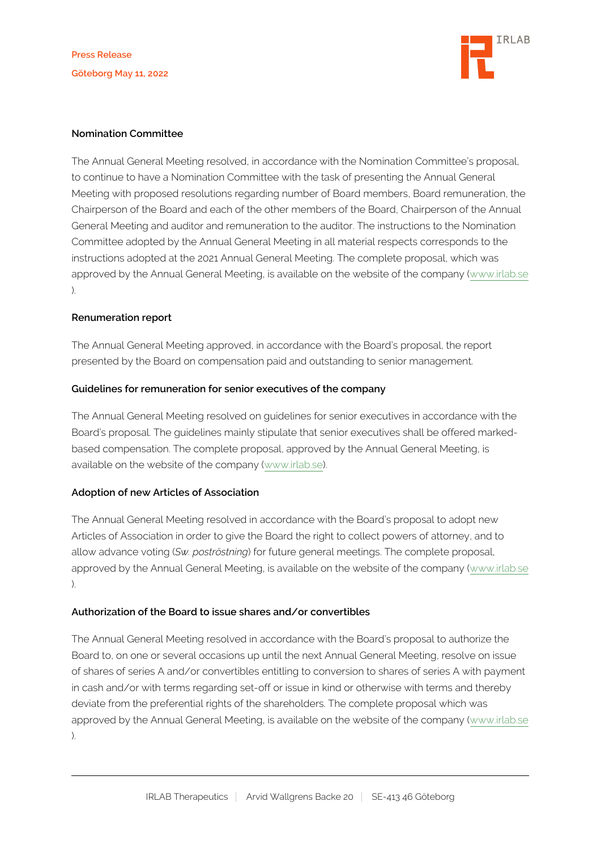

#### **Nomination Committee**

The Annual General Meeting resolved, in accordance with the Nomination Committee's proposal, to continue to have a Nomination Committee with the task of presenting the Annual General Meeting with proposed resolutions regarding number of Board members, Board remuneration, the Chairperson of the Board and each of the other members of the Board, Chairperson of the Annual General Meeting and auditor and remuneration to the auditor. The instructions to the Nomination Committee adopted by the Annual General Meeting in all material respects corresponds to the instructions adopted at the 2021 Annual General Meeting. The complete proposal, which was approved by the Annual General Meeting, is available on the website of the company ([www.irlab.se](http://www.irlab.se/) ).

## **Renumeration report**

The Annual General Meeting approved, in accordance with the Board's proposal, the report presented by the Board on compensation paid and outstanding to senior management.

## **Guidelines for remuneration for senior executives of the company**

The Annual General Meeting resolved on guidelines for senior executives in accordance with the Board's proposal. The guidelines mainly stipulate that senior executives shall be offered markedbased compensation. The complete proposal, approved by the Annual General Meeting, is available on the website of the company ([www.irlab.se\)](http://www.irlab.se/).

# **Adoption of new Articles of Association**

The Annual General Meeting resolved in accordance with the Board's proposal to adopt new Articles of Association in order to give the Board the right to collect powers of attorney, and to allow advance voting (*Sw. poströstning*) for future general meetings. The complete proposal, approved by the Annual General Meeting, is available on the website of the company ([www.irlab.se](http://www.irlab.se/) ).

#### **Authorization of the Board to issue shares and/or convertibles**

The Annual General Meeting resolved in accordance with the Board's proposal to authorize the Board to, on one or several occasions up until the next Annual General Meeting, resolve on issue of shares of series A and/or convertibles entitling to conversion to shares of series A with payment in cash and/or with terms regarding set-off or issue in kind or otherwise with terms and thereby deviate from the preferential rights of the shareholders. The complete proposal which was approved by the Annual General Meeting, is available on the website of the company ([www.irlab.se](http://www.irlab.se) ).